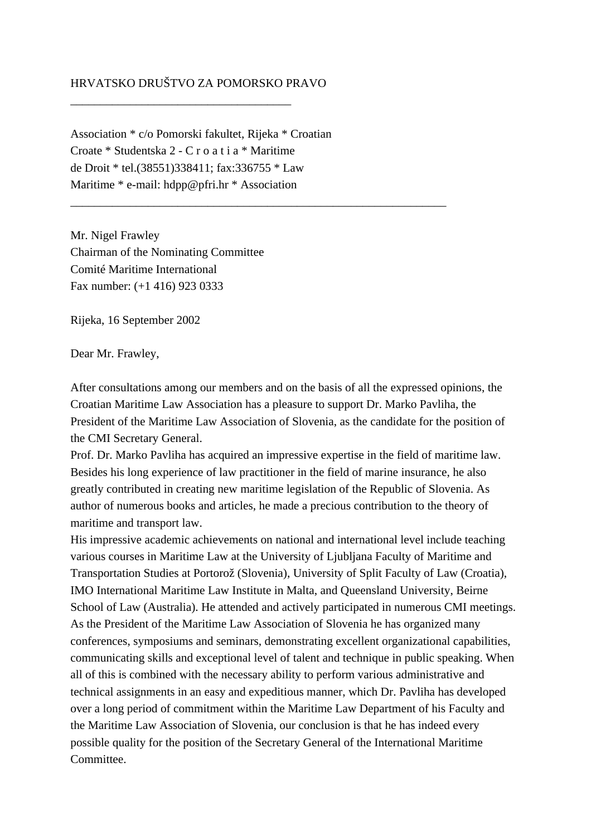## HRVATSKO DRUŠTVO ZA POMORSKO PRAVO

\_\_\_\_\_\_\_\_\_\_\_\_\_\_\_\_\_\_\_\_\_\_\_\_\_\_\_\_\_\_\_\_\_\_\_\_\_

Association \* c/o Pomorski fakultet, Rijeka \* Croatian Croate \* Studentska 2 - C r o a t i a \* Maritime de Droit \* tel.(38551)338411; fax:336755 \* Law Maritime \* e-mail: hdpp@pfri.hr \* Association

\_\_\_\_\_\_\_\_\_\_\_\_\_\_\_\_\_\_\_\_\_\_\_\_\_\_\_\_\_\_\_\_\_\_\_\_\_\_\_\_\_\_\_\_\_\_\_\_\_\_\_\_\_\_\_\_\_\_\_\_\_\_\_

Mr. Nigel Frawley Chairman of the Nominating Committee Comité Maritime International Fax number: (+1 416) 923 0333

Rijeka, 16 September 2002

Dear Mr. Frawley,

After consultations among our members and on the basis of all the expressed opinions, the Croatian Maritime Law Association has a pleasure to support Dr. Marko Pavliha, the President of the Maritime Law Association of Slovenia, as the candidate for the position of the CMI Secretary General.

Prof. Dr. Marko Pavliha has acquired an impressive expertise in the field of maritime law. Besides his long experience of law practitioner in the field of marine insurance, he also greatly contributed in creating new maritime legislation of the Republic of Slovenia. As author of numerous books and articles, he made a precious contribution to the theory of maritime and transport law.

His impressive academic achievements on national and international level include teaching various courses in Maritime Law at the University of Ljubljana Faculty of Maritime and Transportation Studies at Portorož (Slovenia), University of Split Faculty of Law (Croatia), IMO International Maritime Law Institute in Malta, and Queensland University, Beirne School of Law (Australia). He attended and actively participated in numerous CMI meetings. As the President of the Maritime Law Association of Slovenia he has organized many conferences, symposiums and seminars, demonstrating excellent organizational capabilities, communicating skills and exceptional level of talent and technique in public speaking. When all of this is combined with the necessary ability to perform various administrative and technical assignments in an easy and expeditious manner, which Dr. Pavliha has developed over a long period of commitment within the Maritime Law Department of his Faculty and the Maritime Law Association of Slovenia, our conclusion is that he has indeed every possible quality for the position of the Secretary General of the International Maritime Committee.